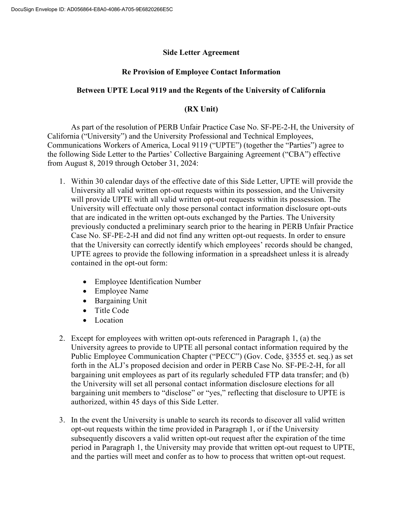## Side Letter Agreement

## Re Provision of Employee Contact Information

## Between UPTE Local 9119 and the Regents of the University of California

## (RX Unit)

 As part of the resolution of PERB Unfair Practice Case No. SF-PE-2-H, the University of California ("University") and the University Professional and Technical Employees, Communications Workers of America, Local 9119 ("UPTE") (together the "Parties") agree to the following Side Letter to the Parties' Collective Bargaining Agreement ("CBA") effective from August 8, 2019 through October 31, 2024:

- 1. Within 30 calendar days of the effective date of this Side Letter, UPTE will provide the University all valid written opt-out requests within its possession, and the University will provide UPTE with all valid written opt-out requests within its possession. The University will effectuate only those personal contact information disclosure opt-outs that are indicated in the written opt-outs exchanged by the Parties. The University previously conducted a preliminary search prior to the hearing in PERB Unfair Practice Case No. SF-PE-2-H and did not find any written opt-out requests. In order to ensure that the University can correctly identify which employees' records should be changed, UPTE agrees to provide the following information in a spreadsheet unless it is already contained in the opt-out form:
	- Employee Identification Number
	- Employee Name
	- Bargaining Unit
	- Title Code
	- Location
- 2. Except for employees with written opt-outs referenced in Paragraph 1, (a) the University agrees to provide to UPTE all personal contact information required by the Public Employee Communication Chapter ("PECC") (Gov. Code, §3555 et. seq.) as set forth in the ALJ's proposed decision and order in PERB Case No. SF-PE-2-H, for all bargaining unit employees as part of its regularly scheduled FTP data transfer; and (b) the University will set all personal contact information disclosure elections for all bargaining unit members to "disclose" or "yes," reflecting that disclosure to UPTE is authorized, within 45 days of this Side Letter.
- 3. In the event the University is unable to search its records to discover all valid written opt-out requests within the time provided in Paragraph 1, or if the University subsequently discovers a valid written opt-out request after the expiration of the time period in Paragraph 1, the University may provide that written opt-out request to UPTE, and the parties will meet and confer as to how to process that written opt-out request.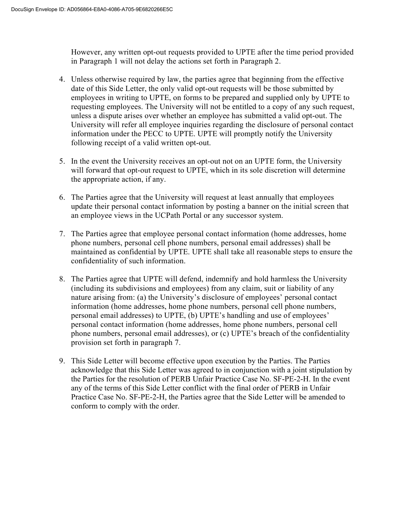However, any written opt-out requests provided to UPTE after the time period provided in Paragraph 1 will not delay the actions set forth in Paragraph 2.

- 4. Unless otherwise required by law, the parties agree that beginning from the effective date of this Side Letter, the only valid opt-out requests will be those submitted by employees in writing to UPTE, on forms to be prepared and supplied only by UPTE to requesting employees. The University will not be entitled to a copy of any such request, unless a dispute arises over whether an employee has submitted a valid opt-out. The University will refer all employee inquiries regarding the disclosure of personal contact information under the PECC to UPTE. UPTE will promptly notify the University following receipt of a valid written opt-out.
- 5. In the event the University receives an opt-out not on an UPTE form, the University will forward that opt-out request to UPTE, which in its sole discretion will determine the appropriate action, if any.
- 6. The Parties agree that the University will request at least annually that employees update their personal contact information by posting a banner on the initial screen that an employee views in the UCPath Portal or any successor system.
- 7. The Parties agree that employee personal contact information (home addresses, home phone numbers, personal cell phone numbers, personal email addresses) shall be maintained as confidential by UPTE. UPTE shall take all reasonable steps to ensure the confidentiality of such information.
- 8. The Parties agree that UPTE will defend, indemnify and hold harmless the University (including its subdivisions and employees) from any claim, suit or liability of any nature arising from: (a) the University's disclosure of employees' personal contact information (home addresses, home phone numbers, personal cell phone numbers, personal email addresses) to UPTE, (b) UPTE's handling and use of employees' personal contact information (home addresses, home phone numbers, personal cell phone numbers, personal email addresses), or (c) UPTE's breach of the confidentiality provision set forth in paragraph 7.
- 9. This Side Letter will become effective upon execution by the Parties. The Parties acknowledge that this Side Letter was agreed to in conjunction with a joint stipulation by the Parties for the resolution of PERB Unfair Practice Case No. SF-PE-2-H. In the event any of the terms of this Side Letter conflict with the final order of PERB in Unfair Practice Case No. SF-PE-2-H, the Parties agree that the Side Letter will be amended to conform to comply with the order.